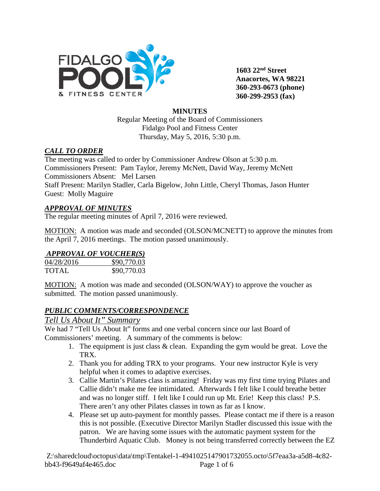

**1603 22nd Street Anacortes, WA 98221 360-293-0673 (phone) 360-299-2953 (fax)**

#### **MINUTES**

Regular Meeting of the Board of Commissioners Fidalgo Pool and Fitness Center Thursday, May 5, 2016, 5:30 p.m.

#### *CALL TO ORDER*

The meeting was called to order by Commissioner Andrew Olson at 5:30 p.m. Commissioners Present: Pam Taylor, Jeremy McNett, David Way, Jeremy McNett Commissioners Absent: Mel Larsen Staff Present: Marilyn Stadler, Carla Bigelow, John Little, Cheryl Thomas, Jason Hunter Guest: Molly Maguire

### *APPROVAL OF MINUTES*

The regular meeting minutes of April 7, 2016 were reviewed.

MOTION: A motion was made and seconded (OLSON/MCNETT) to approve the minutes from the April 7, 2016 meetings. The motion passed unanimously.

## *APPROVAL OF VOUCHER(S)*

| 04/28/2016   | \$90,770.03 |
|--------------|-------------|
| <b>TOTAL</b> | \$90,770.03 |

MOTION: A motion was made and seconded (OLSON/WAY) to approve the voucher as submitted. The motion passed unanimously.

#### *PUBLIC COMMENTS/CORRESPONDENCE*

## *Tell Us About It" Summary*

We had 7 "Tell Us About It" forms and one verbal concern since our last Board of Commissioners' meeting. A summary of the comments is below:

- 1. The equipment is just class & clean. Expanding the gym would be great. Love the TRX.
- 2. Thank you for adding TRX to your programs. Your new instructor Kyle is very helpful when it comes to adaptive exercises.
- 3. Callie Martin's Pilates class is amazing! Friday was my first time trying Pilates and Callie didn't make me fee intimidated. Afterwards I felt like I could breathe better and was no longer stiff. I felt like I could run up Mt. Erie! Keep this class! P.S. There aren't any other Pilates classes in town as far as I know.
- 4. Please set up auto-payment for monthly passes. Please contact me if there is a reason this is not possible. (Executive Director Marilyn Stadler discussed this issue with the patron. We are having some issues with the automatic payment system for the Thunderbird Aquatic Club. Money is not being transferred correctly between the EZ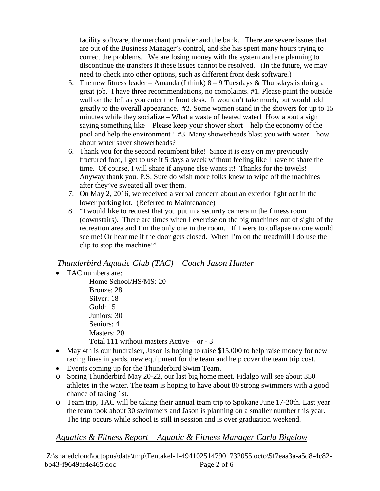facility software, the merchant provider and the bank. There are severe issues that are out of the Business Manager's control, and she has spent many hours trying to correct the problems. We are losing money with the system and are planning to discontinue the transfers if these issues cannot be resolved. (In the future, we may need to check into other options, such as different front desk software.)

- 5. The new fitness leader Amanda (I think)  $8 9$  Tuesdays & Thursdays is doing a great job. I have three recommendations, no complaints. #1. Please paint the outside wall on the left as you enter the front desk. It wouldn't take much, but would add greatly to the overall appearance. #2. Some women stand in the showers for up to 15 minutes while they socialize – What a waste of heated water! How about a sign saying something like – Please keep your shower short – help the economy of the pool and help the environment? #3. Many showerheads blast you with water – how about water saver showerheads?
- 6. Thank you for the second recumbent bike! Since it is easy on my previously fractured foot, I get to use it 5 days a week without feeling like I have to share the time. Of course, I will share if anyone else wants it! Thanks for the towels! Anyway thank you. P.S. Sure do wish more folks knew to wipe off the machines after they've sweated all over them.
- 7. On May 2, 2016, we received a verbal concern about an exterior light out in the lower parking lot. (Referred to Maintenance)
- 8. "I would like to request that you put in a security camera in the fitness room (downstairs). There are times when I exercise on the big machines out of sight of the recreation area and I'm the only one in the room. If I were to collapse no one would see me! Or hear me if the door gets closed. When I'm on the treadmill I do use the clip to stop the machine!"

# *Thunderbird Aquatic Club (TAC) – Coach Jason Hunter*

• TAC numbers are:

Home School/HS/MS: 20 Bronze: 28 Silver: 18 Gold: 15 Juniors: 30 Seniors: 4 Masters: 20 Total 111 without masters Active  $+$  or  $-3$ 

- May 4th is our fundraiser, Jason is hoping to raise \$15,000 to help raise money for new racing lines in yards, new equipment for the team and help cover the team trip cost.
- Events coming up for the Thunderbird Swim Team.
- o Spring Thunderbird May 20-22, our last big home meet. Fidalgo will see about 350 athletes in the water. The team is hoping to have about 80 strong swimmers with a good chance of taking 1st.
- o Team trip, TAC will be taking their annual team trip to Spokane June 17-20th. Last year the team took about 30 swimmers and Jason is planning on a smaller number this year. The trip occurs while school is still in session and is over graduation weekend.

*Aquatics & Fitness Report – Aquatic & Fitness Manager Carla Bigelow*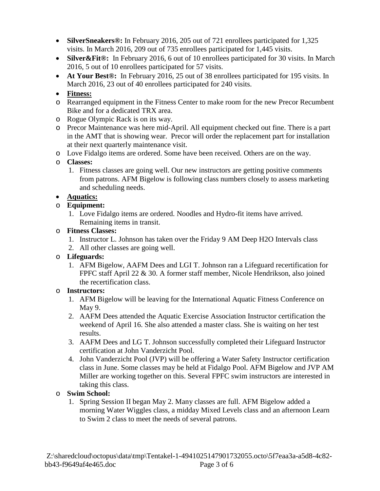- **SilverSneakers®:** In February 2016, 205 out of 721 enrollees participated for 1,325 visits. In March 2016, 209 out of 735 enrollees participated for 1,445 visits.
- **Silver&Fit®:** In February 2016, 6 out of 10 enrollees participated for 30 visits. In March 2016, 5 out of 10 enrollees participated for 57 visits.
- **At Your Best®:** In February 2016, 25 out of 38 enrollees participated for 195 visits. In March 2016, 23 out of 40 enrollees participated for 240 visits.
- **Fitness:**
- o Rearranged equipment in the Fitness Center to make room for the new Precor Recumbent Bike and for a dedicated TRX area.
- o Rogue Olympic Rack is on its way.
- o Precor Maintenance was here mid-April. All equipment checked out fine. There is a part in the AMT that is showing wear. Precor will order the replacement part for installation at their next quarterly maintenance visit.
- o Love Fidalgo items are ordered. Some have been received. Others are on the way.
- o **Classes:**
	- 1. Fitness classes are going well. Our new instructors are getting positive comments from patrons. AFM Bigelow is following class numbers closely to assess marketing and scheduling needs.

#### • **Aquatics:**

#### o **Equipment:**

1. Love Fidalgo items are ordered. Noodles and Hydro-fit items have arrived. Remaining items in transit.

#### o **Fitness Classes:**

- 1. Instructor L. Johnson has taken over the Friday 9 AM Deep H2O Intervals class
- 2. All other classes are going well.
- o **Lifeguards:**
	- 1. AFM Bigelow, AAFM Dees and LGI T. Johnson ran a Lifeguard recertification for FPFC staff April 22 & 30. A former staff member, Nicole Hendrikson, also joined the recertification class.

#### o **Instructors:**

- 1. AFM Bigelow will be leaving for the International Aquatic Fitness Conference on May 9.
- 2. AAFM Dees attended the Aquatic Exercise Association Instructor certification the weekend of April 16. She also attended a master class. She is waiting on her test results.
- 3. AAFM Dees and LG T. Johnson successfully completed their Lifeguard Instructor certification at John Vanderzicht Pool.
- 4. John Vanderzicht Pool (JVP) will be offering a Water Safety Instructor certification class in June. Some classes may be held at Fidalgo Pool. AFM Bigelow and JVP AM Miller are working together on this. Several FPFC swim instructors are interested in taking this class.

#### o **Swim School:**

1. Spring Session II began May 2. Many classes are full. AFM Bigelow added a morning Water Wiggles class, a midday Mixed Levels class and an afternoon Learn to Swim 2 class to meet the needs of several patrons.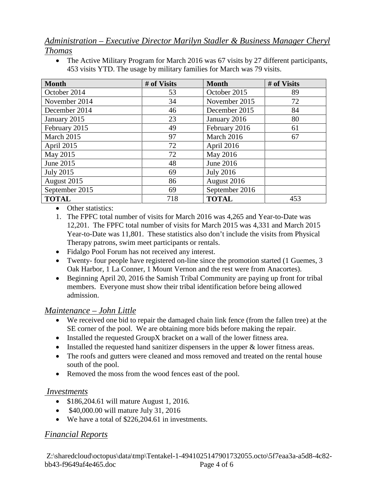# *Administration – Executive Director Marilyn Stadler & Business Manager Cheryl Thomas*

• The Active Military Program for March 2016 was 67 visits by 27 different participants, 453 visits YTD. The usage by military families for March was 79 visits.

| <b>Month</b>     | # of Visits | <b>Month</b>     | # of Visits |
|------------------|-------------|------------------|-------------|
| October 2014     | 53          | October 2015     | 89          |
| November 2014    | 34          | November 2015    | 72          |
| December 2014    | 46          | December 2015    | 84          |
| January 2015     | 23          | January 2016     | 80          |
| February 2015    | 49          | February 2016    | 61          |
| March 2015       | 97          | March 2016       | 67          |
| April 2015       | 72          | April 2016       |             |
| May 2015         | 72          | May 2016         |             |
| June 2015        | 48          | June 2016        |             |
| <b>July 2015</b> | 69          | <b>July 2016</b> |             |
| August 2015      | 86          | August 2016      |             |
| September 2015   | 69          | September 2016   |             |
| <b>TOTAL</b>     | 718         | <b>TOTAL</b>     | 453         |

- Other statistics:
- 1. The FPFC total number of visits for March 2016 was 4,265 and Year-to-Date was 12,201. The FPFC total number of visits for March 2015 was 4,331 and March 2015 Year-to-Date was 11,801. These statistics also don't include the visits from Physical Therapy patrons, swim meet participants or rentals.
- Fidalgo Pool Forum has not received any interest.
- Twenty- four people have registered on-line since the promotion started (1 Guemes, 3 Oak Harbor, 1 La Conner, 1 Mount Vernon and the rest were from Anacortes).
- Beginning April 20, 2016 the Samish Tribal Community are paying up front for tribal members. Everyone must show their tribal identification before being allowed admission.

## *Maintenance – John Little*

- We received one bid to repair the damaged chain link fence (from the fallen tree) at the SE corner of the pool. We are obtaining more bids before making the repair.
- Installed the requested GroupX bracket on a wall of the lower fitness area.
- Installed the requested hand sanitizer dispensers in the upper  $\&$  lower fitness areas.
- The roofs and gutters were cleaned and moss removed and treated on the rental house south of the pool.
- Removed the moss from the wood fences east of the pool.

#### *Investments*

- \$186,204.61 will mature August 1, 2016.
- \$40,000.00 will mature July 31, 2016
- We have a total of \$226,204.61 in investments.

## *Financial Reports*

Z:\sharedcloud\octopus\data\tmp\Tentakel-1-4941025147901732055.octo\5f7eaa3a-a5d8-4c82 bb43-f9649af4e465.doc Page 4 of 6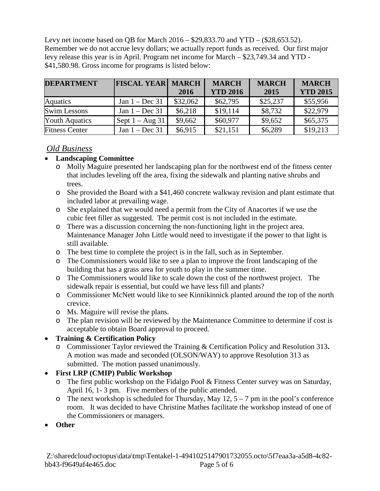Levy net income based on QB for March 2016 – \$29,833.70 and YTD – (\$28,653.52). Remember we do not accrue levy dollars; we actually report funds as received. Our first major levy release this year is in April. Program net income for March – \$23,749.34 and YTD - \$41,580.98. Gross income for programs is listed below:

| <b>DEPARTMENT</b>     | <b>FISCAL YEAR MARCH</b> |          | <b>MARCH</b>    | <b>MARCH</b> | <b>MARCH</b>    |
|-----------------------|--------------------------|----------|-----------------|--------------|-----------------|
|                       |                          | 2016     | <b>YTD 2016</b> | 2015         | <b>YTD 2015</b> |
| <b>Aquatics</b>       | Jan $1 - Dec 31$         | \$32,062 | \$62,795        | \$25,237     | \$55,956        |
| <b>Swim Lessons</b>   | Jan $1 - Dec 31$         | \$6,218  | \$19,114        | \$8,732      | \$22,979        |
| <b>Youth Aquatics</b> | Sept $1 - Aug 31$        | \$9,662  | \$60,977        | \$9,652      | \$65,375        |
| <b>Fitness Center</b> | Jan $1 - Dec 31$         | \$6,915  | \$21,151        | \$6,289      | \$19,213        |

### *Old Business*

## • **Landscaping Committee**

- o Molly Maguire presented her landscaping plan for the northwest end of the fitness center that includes leveling off the area, fixing the sidewalk and planting native shrubs and trees.
- o She provided the Board with a \$41,460 concrete walkway revision and plant estimate that included labor at prevailing wage.
- o She explained that we would need a permit from the City of Anacortes if we use the cubic feet filler as suggested. The permit cost is not included in the estimate.
- o There was a discussion concerning the non-functioning light in the project area. Maintenance Manager John Little would need to investigate if the power to that light is still available.
- o The best time to complete the project is in the fall, such as in September.
- o The Commissioners would like to see a plan to improve the front landscaping of the building that has a grass area for youth to play in the summer time.
- o The Commissioners would like to scale down the cost of the northwest project. The sidewalk repair is essential, but could we have less fill and plants?
- o Commissioner McNett would like to see Kinnikinnick planted around the top of the north crevice.
- o Ms. Maguire will revise the plans.
- o The plan revision will be reviewed by the Maintenance Committee to determine if cost is acceptable to obtain Board approval to proceed.

## • **Training & Certification Policy**

o Commissioner Taylor reviewed the Training & Certification Policy and Resolution 313**.** A motion was made and seconded (OLSON/WAY) to approve Resolution 313 as submitted. The motion passed unanimously.

## • **First LRP (CMIP) Public Workshop**

- o The first public workshop on the Fidalgo Pool & Fitness Center survey was on Saturday, April 16, 1- 3 pm. Five members of the public attended.
- $\circ$  The next workshop is scheduled for Thursday, May 12, 5 7 pm in the pool's conference room. It was decided to have Christine Mathes facilitate the workshop instead of one of the Commissioners or managers.
- **Other**